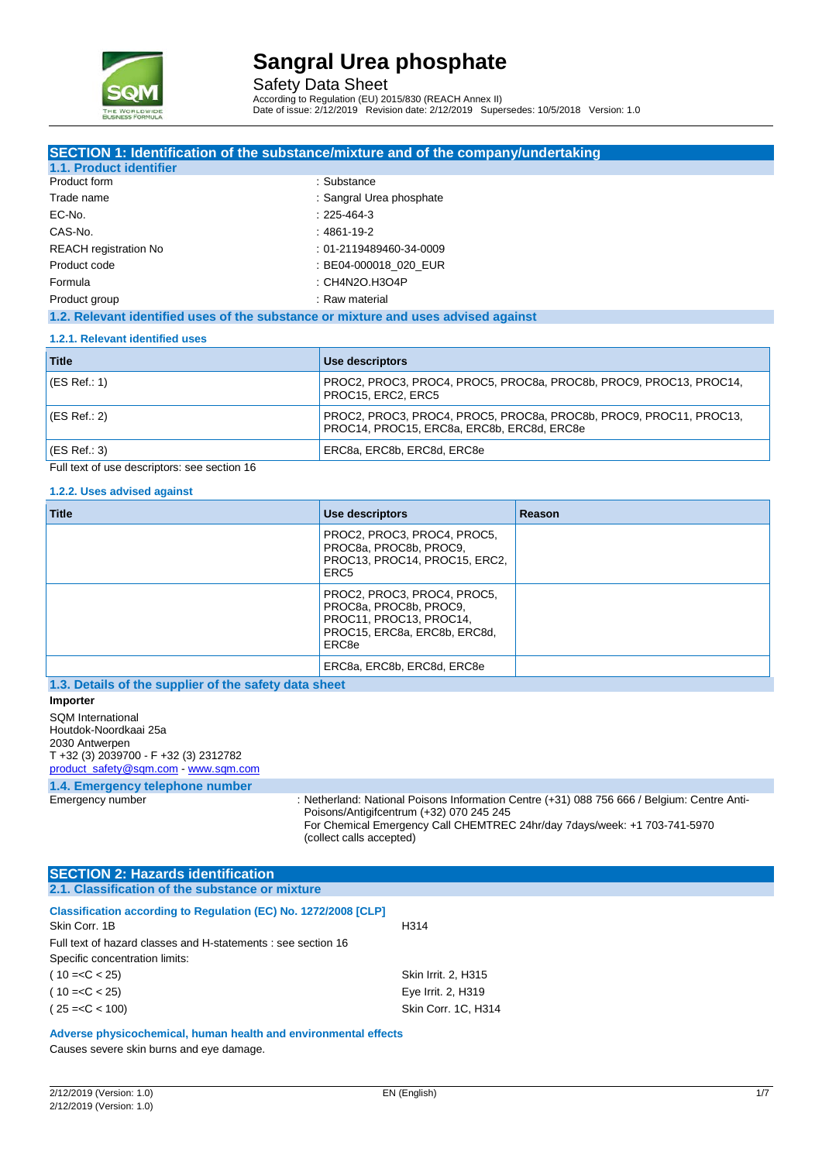

Safety Data Sheet According to Regulation (EU) 2015/830 (REACH Annex II) Date of issue: 2/12/2019 Revision date: 2/12/2019 Supersedes: 10/5/2018 Version: 1.0

| SECTION 1: Identification of the substance/mixture and of the company/undertaking                                |
|------------------------------------------------------------------------------------------------------------------|
|                                                                                                                  |
| : Substance                                                                                                      |
| : Sangral Urea phosphate                                                                                         |
| $: 225 - 464 - 3$                                                                                                |
| : 4861-19-2                                                                                                      |
| : 01-2119489460-34-0009                                                                                          |
| : BE04-000018 020 EUR                                                                                            |
| : CH4N2O.H3O4P                                                                                                   |
| : Raw material                                                                                                   |
|                                                                                                                  |
| 1.2. Relevant identified uses of the substance or mixture and uses advised against                               |
|                                                                                                                  |
| Use descriptors                                                                                                  |
| PROC2, PROC3, PROC4, PROC5, PROC8a, PROC8b, PROC9, PROC13, PROC14,<br>PROC15, ERC2, ERC5                         |
| PROC2, PROC3, PROC4, PROC5, PROC8a, PROC8b, PROC9, PROC11, PROC13,<br>PROC14, PROC15, ERC8a, ERC8b, ERC8d, ERC8e |
|                                                                                                                  |

#### Full text of use descriptors: see section 16

#### **1.2.2. Uses advised against**

| <b>Title</b>                                          | Use descriptors                                                                                                           | Reason |
|-------------------------------------------------------|---------------------------------------------------------------------------------------------------------------------------|--------|
|                                                       | PROC2, PROC3, PROC4, PROC5,<br>PROC8a, PROC8b, PROC9.<br>PROC13, PROC14, PROC15, ERC2,<br>ERC <sub>5</sub>                |        |
|                                                       | PROC2, PROC3, PROC4, PROC5,<br>PROC8a, PROC8b, PROC9,<br>PROC11, PROC13, PROC14,<br>PROC15, ERC8a, ERC8b, ERC8d,<br>ERC8e |        |
|                                                       | ERC8a, ERC8b, ERC8d, ERC8e                                                                                                |        |
| 1.3. Details of the supplier of the safety data sheet |                                                                                                                           |        |

**Importer** SQM International Houtdok-Noordkaai 25a 2030 Antwerpen T +32 (3) 2039700 - F +32 (3) 2312782 [product\\_safety@sqm.com](mailto:product_safety@sqm.com) - [www.sqm.com](file://sqmglobal.local/gfs/UserEMEA/AHolmgren/Documents/www.sqm.com)

# **1.4. Emergency telephone number**

: Netherland: National Poisons Information Centre (+31) 088 756 666 / Belgium: Centre Anti-Poisons/Antigifcentrum (+32) 070 245 245 For Chemical Emergency Call CHEMTREC 24hr/day 7days/week: +1 703-741-5970 (collect calls accepted)

| <b>SECTION 2: Hazards identification</b>                                                        |                     |
|-------------------------------------------------------------------------------------------------|---------------------|
| 2.1. Classification of the substance or mixture                                                 |                     |
| <b>Classification according to Regulation (EC) No. 1272/2008 [CLP]</b><br>Skin Corr, 1B         | H314                |
| Full text of hazard classes and H-statements : see section 16<br>Specific concentration limits: |                     |
| $(10=$                                                                                          | Skin Irrit. 2, H315 |
| $(10=$                                                                                          | Eye Irrit. 2, H319  |
| $(25=$                                                                                          | Skin Corr. 1C. H314 |

**Adverse physicochemical, human health and environmental effects** Causes severe skin burns and eye damage.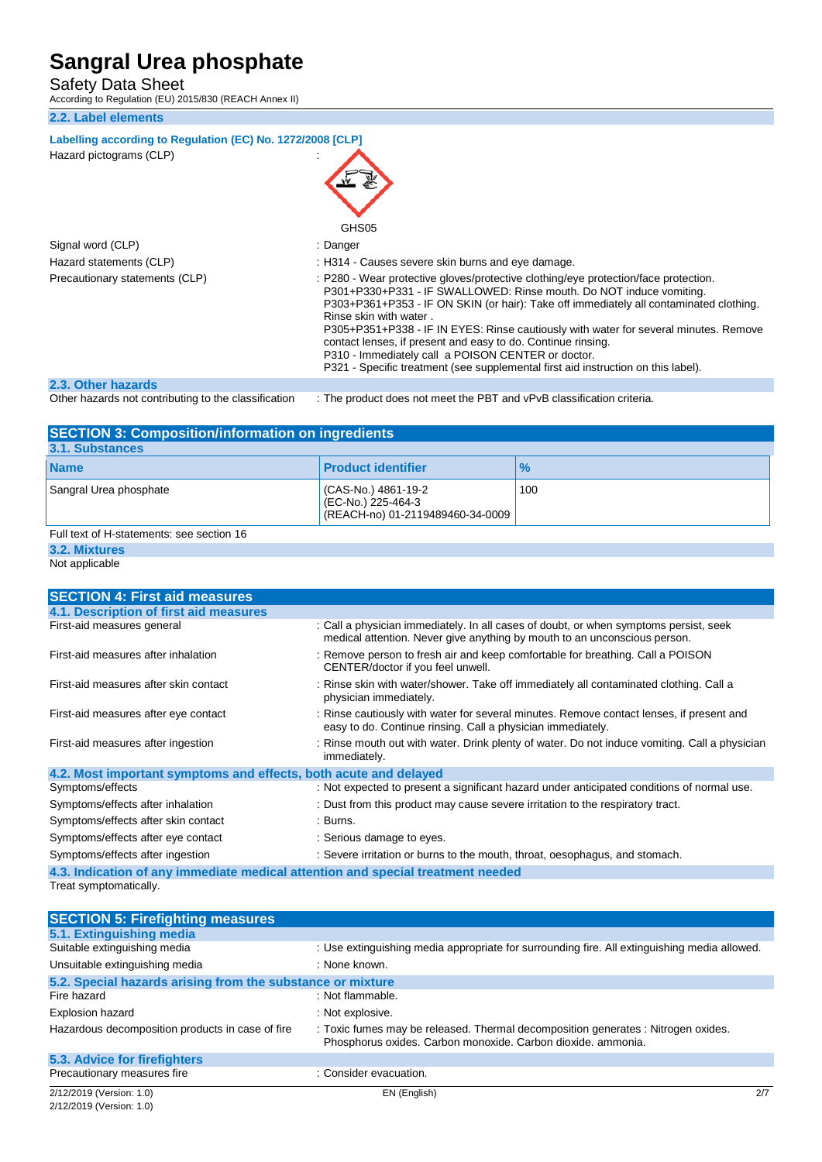Safety Data Sheet<br>According to Regulation (EU) 2015/830 (REACH Annex II)

#### **2.2. Label elements**

| Labelling according to Regulation (EC) No. 1272/2008 [CLP]<br>Hazard pictograms (CLP) |                                                                                                                                                                                                                                                                                                                                                                                                                                                                                                                                                                                   |
|---------------------------------------------------------------------------------------|-----------------------------------------------------------------------------------------------------------------------------------------------------------------------------------------------------------------------------------------------------------------------------------------------------------------------------------------------------------------------------------------------------------------------------------------------------------------------------------------------------------------------------------------------------------------------------------|
|                                                                                       | GHS05                                                                                                                                                                                                                                                                                                                                                                                                                                                                                                                                                                             |
| Signal word (CLP)                                                                     | : Danger                                                                                                                                                                                                                                                                                                                                                                                                                                                                                                                                                                          |
| Hazard statements (CLP)                                                               | : H314 - Causes severe skin burns and eye damage.                                                                                                                                                                                                                                                                                                                                                                                                                                                                                                                                 |
| Precautionary statements (CLP)                                                        | : P280 - Wear protective gloves/protective clothing/eye protection/face protection.<br>P301+P330+P331 - IF SWALLOWED: Rinse mouth. Do NOT induce vomiting.<br>P303+P361+P353 - IF ON SKIN (or hair): Take off immediately all contaminated clothing.<br>Rinse skin with water.<br>P305+P351+P338 - IF IN EYES: Rinse cautiously with water for several minutes. Remove<br>contact lenses, if present and easy to do. Continue rinsing.<br>P310 - Immediately call a POISON CENTER or doctor.<br>P321 - Specific treatment (see supplemental first aid instruction on this label). |
| 2.3. Other hazards                                                                    |                                                                                                                                                                                                                                                                                                                                                                                                                                                                                                                                                                                   |

| <b>SECTION 3: Composition/information on ingredients</b> |                                                                               |               |
|----------------------------------------------------------|-------------------------------------------------------------------------------|---------------|
| 3.1. Substances                                          |                                                                               |               |
| <b>Name</b>                                              | <b>Product identifier</b>                                                     | $\frac{9}{6}$ |
| Sangral Urea phosphate                                   | (CAS-No.) 4861-19-2<br>(EC-No.) 225-464-3<br>(REACH-no) 01-2119489460-34-0009 | 100           |
| Full text of H-statements: see section 16                |                                                                               |               |
|                                                          |                                                                               |               |

### **3.2. Mixtures**

Not applicable

| <b>SECTION 4: First aid measures</b>                                            |                                                                                                                                                                    |
|---------------------------------------------------------------------------------|--------------------------------------------------------------------------------------------------------------------------------------------------------------------|
| 4.1. Description of first aid measures                                          |                                                                                                                                                                    |
| First-aid measures general                                                      | : Call a physician immediately. In all cases of doubt, or when symptoms persist, seek<br>medical attention. Never give anything by mouth to an unconscious person. |
| First-aid measures after inhalation                                             | : Remove person to fresh air and keep comfortable for breathing. Call a POISON<br>CENTER/doctor if you feel unwell.                                                |
| First-aid measures after skin contact                                           | : Rinse skin with water/shower. Take off immediately all contaminated clothing. Call a<br>physician immediately.                                                   |
| First-aid measures after eye contact                                            | : Rinse cautiously with water for several minutes. Remove contact lenses, if present and<br>easy to do. Continue rinsing. Call a physician immediately.            |
| First-aid measures after ingestion                                              | : Rinse mouth out with water. Drink plenty of water. Do not induce vomiting. Call a physician<br>immediately.                                                      |
| 4.2. Most important symptoms and effects, both acute and delayed                |                                                                                                                                                                    |
| Symptoms/effects                                                                | : Not expected to present a significant hazard under anticipated conditions of normal use.                                                                         |
| Symptoms/effects after inhalation                                               | : Dust from this product may cause severe irritation to the respiratory tract.                                                                                     |
| Symptoms/effects after skin contact                                             | : Burns.                                                                                                                                                           |
| Symptoms/effects after eye contact                                              | : Serious damage to eyes.                                                                                                                                          |
| Symptoms/effects after ingestion                                                | : Severe irritation or burns to the mouth, throat, oesophagus, and stomach.                                                                                        |
| 4.3. Indication of any immediate medical attention and special treatment needed |                                                                                                                                                                    |
| Treat symptomatically.                                                          |                                                                                                                                                                    |

| <b>SECTION 5: Firefighting measures</b>                    |                                                                                                                                                   |
|------------------------------------------------------------|---------------------------------------------------------------------------------------------------------------------------------------------------|
| 5.1. Extinguishing media                                   |                                                                                                                                                   |
| Suitable extinguishing media                               | : Use extinguishing media appropriate for surrounding fire. All extinguishing media allowed.                                                      |
| Unsuitable extinguishing media                             | : None known.                                                                                                                                     |
| 5.2. Special hazards arising from the substance or mixture |                                                                                                                                                   |
| Fire hazard                                                | : Not flammable.                                                                                                                                  |
| <b>Explosion hazard</b>                                    | : Not explosive.                                                                                                                                  |
| Hazardous decomposition products in case of fire           | : Toxic fumes may be released. Thermal decomposition generates : Nitrogen oxides.<br>Phosphorus oxides. Carbon monoxide. Carbon dioxide. ammonia. |
| 5.3. Advice for firefighters                               |                                                                                                                                                   |
| Precautionary measures fire                                | : Consider evacuation.                                                                                                                            |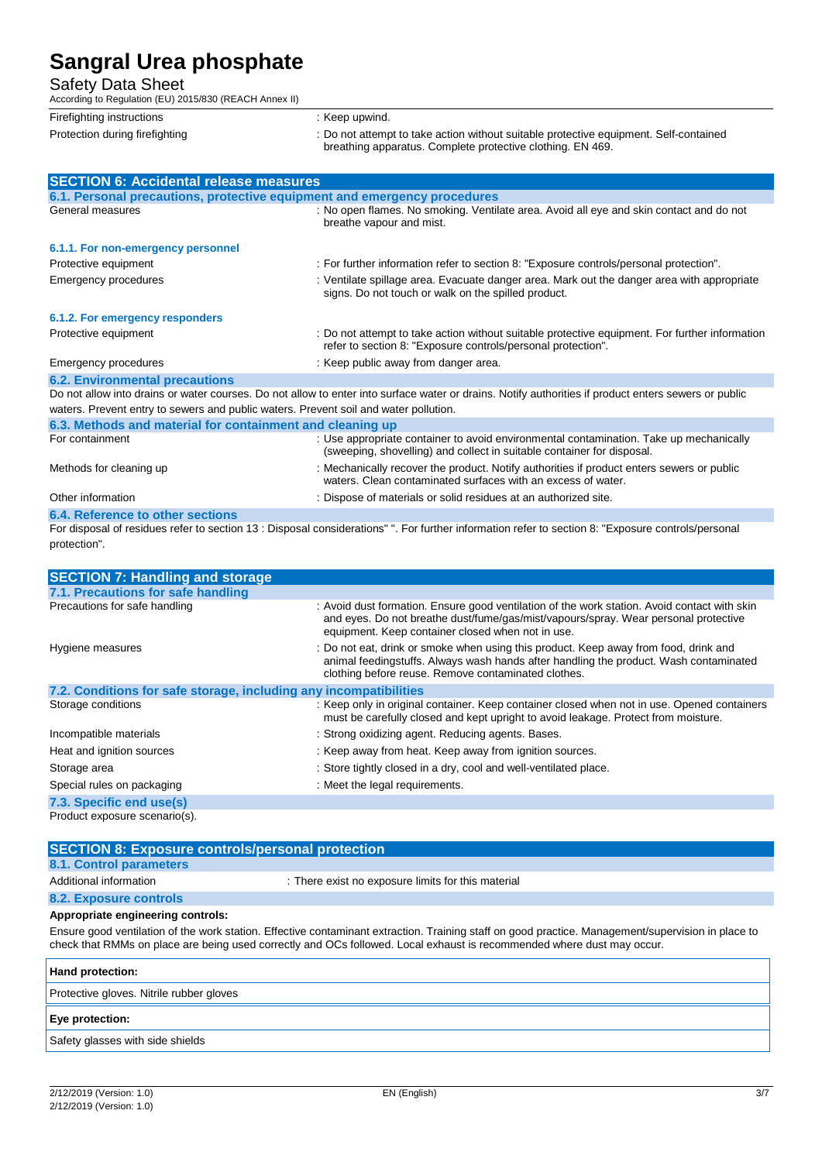Safety Data Sheet

| According to Regulation (EU) 2015/830 (REACH Annex II) |                                                                                                                                                                |
|--------------------------------------------------------|----------------------------------------------------------------------------------------------------------------------------------------------------------------|
| Firefighting instructions                              | : Keep upwind.                                                                                                                                                 |
| Protection during firefighting                         | : Do not attempt to take action without suitable protective equipment. Self-contained<br>breathing apparatus. Complete protective clothing. EN 469.            |
| <b>SECTION 6: Accidental release measures</b>          |                                                                                                                                                                |
|                                                        | 6.1. Personal precautions, protective equipment and emergency procedures                                                                                       |
| General measures                                       | : No open flames. No smoking. Ventilate area. Avoid all eye and skin contact and do not<br>breathe vapour and mist.                                            |
| 6.1.1. For non-emergency personnel                     |                                                                                                                                                                |
| Protective equipment                                   | : For further information refer to section 8: "Exposure controls/personal protection".                                                                         |
| Emergency procedures                                   | : Ventilate spillage area. Evacuate danger area. Mark out the danger area with appropriate<br>signs. Do not touch or walk on the spilled product.              |
| 6.1.2. For emergency responders                        |                                                                                                                                                                |
| Protective equipment                                   | : Do not attempt to take action without suitable protective equipment. For further information<br>refer to section 8: "Exposure controls/personal protection". |
| Emergency procedures                                   | : Keep public away from danger area.                                                                                                                           |
| <b>6.2. Environmental precautions</b>                  |                                                                                                                                                                |

Do not allow into drains or water courses. Do not allow to enter into surface water or drains. Notify authorities if product enters sewers or public waters. Prevent entry to sewers and public waters. Prevent soil and water pollution.

| 6.3. Methods and material for containment and cleaning up |                                                                                                                                                                  |
|-----------------------------------------------------------|------------------------------------------------------------------------------------------------------------------------------------------------------------------|
| For containment                                           | : Use appropriate container to avoid environmental contamination. Take up mechanically<br>(sweeping, shovelling) and collect in suitable container for disposal. |
| Methods for cleaning up                                   | : Mechanically recover the product. Notify authorities if product enters sewers or public<br>waters. Clean contaminated surfaces with an excess of water.        |
| Other information                                         | : Dispose of materials or solid residues at an authorized site.                                                                                                  |
| 6.4. Reference to other sections                          |                                                                                                                                                                  |
|                                                           | For disposal of residues refer to section 13 : Disposal considerations" ". For further information refer to section 8: "Exposure controls/personal               |

protection".

| <b>SECTION 7: Handling and storage</b>                            |                                                                                                                                                                                                                                          |
|-------------------------------------------------------------------|------------------------------------------------------------------------------------------------------------------------------------------------------------------------------------------------------------------------------------------|
| 7.1. Precautions for safe handling                                |                                                                                                                                                                                                                                          |
| Precautions for safe handling                                     | : Avoid dust formation. Ensure good ventilation of the work station. Avoid contact with skin<br>and eyes. Do not breathe dust/fume/gas/mist/vapours/spray. Wear personal protective<br>equipment. Keep container closed when not in use. |
| Hygiene measures                                                  | : Do not eat, drink or smoke when using this product. Keep away from food, drink and<br>animal feedingstuffs. Always wash hands after handling the product. Wash contaminated<br>clothing before reuse. Remove contaminated clothes.     |
| 7.2. Conditions for safe storage, including any incompatibilities |                                                                                                                                                                                                                                          |
| Storage conditions                                                | : Keep only in original container. Keep container closed when not in use. Opened containers<br>must be carefully closed and kept upright to avoid leakage. Protect from moisture.                                                        |
| Incompatible materials                                            | : Strong oxidizing agent. Reducing agents. Bases.                                                                                                                                                                                        |
| Heat and ignition sources                                         | : Keep away from heat. Keep away from ignition sources.                                                                                                                                                                                  |
| Storage area                                                      | : Store tightly closed in a dry, cool and well-ventilated place.                                                                                                                                                                         |
| Special rules on packaging                                        | : Meet the legal requirements.                                                                                                                                                                                                           |
| 7.3. Specific end use(s)                                          |                                                                                                                                                                                                                                          |
| Product exposure scenario(s).                                     |                                                                                                                                                                                                                                          |

| <b>SECTION 8: Exposure controls/personal protection</b> |                                                    |
|---------------------------------------------------------|----------------------------------------------------|
| 8.1. Control parameters                                 |                                                    |
| Additional information                                  | : There exist no exposure limits for this material |
| 8.2. Exposure controls                                  |                                                    |

#### **Appropriate engineering controls:**

Ensure good ventilation of the work station. Effective contaminant extraction. Training staff on good practice. Management/supervision in place to check that RMMs on place are being used correctly and OCs followed. Local exhaust is recommended where dust may occur.

| Hand protection:                         |
|------------------------------------------|
| Protective gloves. Nitrile rubber gloves |
| Eye protection:                          |
| Safety glasses with side shields         |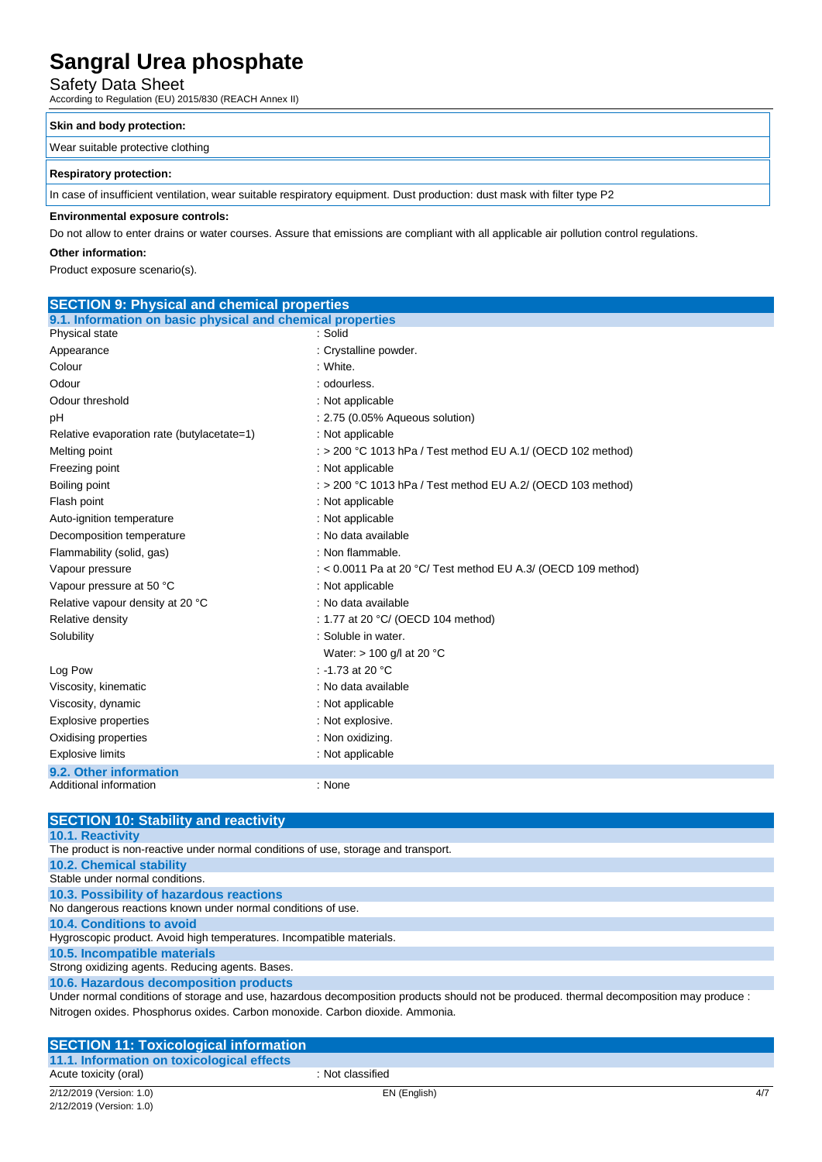Safety Data Sheet<br>According to Regulation (EU) 2015/830 (REACH Annex II)

#### **Skin and body protection:**

Wear suitable protective clothing

#### **Respiratory protection:**

In case of insufficient ventilation, wear suitable respiratory equipment. Dust production: dust mask with filter type P2

#### **Environmental exposure controls:**

Do not allow to enter drains or water courses. Assure that emissions are compliant with all applicable air pollution control regulations.

#### **Other information:**

Product exposure scenario(s).

| <b>SECTION 9: Physical and chemical properties</b>         |                                                               |  |
|------------------------------------------------------------|---------------------------------------------------------------|--|
| 9.1. Information on basic physical and chemical properties |                                                               |  |
| Physical state                                             | : Solid                                                       |  |
| Appearance                                                 | : Crystalline powder.                                         |  |
| Colour                                                     | : White.                                                      |  |
| Odour                                                      | : odourless.                                                  |  |
| Odour threshold                                            | : Not applicable                                              |  |
| pH                                                         | : 2.75 (0.05% Aqueous solution)                               |  |
| Relative evaporation rate (butylacetate=1)                 | : Not applicable                                              |  |
| Melting point                                              | : $>$ 200 °C 1013 hPa / Test method EU A.1/ (OECD 102 method) |  |
| Freezing point                                             | : Not applicable                                              |  |
| Boiling point                                              | : > 200 °C 1013 hPa / Test method EU A.2/ (OECD 103 method)   |  |
| Flash point                                                | : Not applicable                                              |  |
| Auto-ignition temperature                                  | : Not applicable                                              |  |
| Decomposition temperature                                  | : No data available                                           |  |
| Flammability (solid, gas)                                  | : Non flammable.                                              |  |
| Vapour pressure                                            | : < 0.0011 Pa at 20 °C/ Test method EU A.3/ (OECD 109 method) |  |
| Vapour pressure at 50 °C                                   | : Not applicable                                              |  |
| Relative vapour density at 20 °C                           | : No data available                                           |  |
| Relative density                                           | : 1.77 at 20 °C/ (OECD 104 method)                            |  |
| Solubility                                                 | : Soluble in water.                                           |  |
|                                                            | Water: $> 100$ g/l at 20 °C                                   |  |
| Log Pow                                                    | : -1.73 at 20 $^{\circ}$ C                                    |  |
| Viscosity, kinematic                                       | : No data available                                           |  |
| Viscosity, dynamic                                         | : Not applicable                                              |  |
| <b>Explosive properties</b>                                | : Not explosive.                                              |  |
| Oxidising properties                                       | : Non oxidizing.                                              |  |
| <b>Explosive limits</b>                                    | : Not applicable                                              |  |
| 9.2. Other information                                     |                                                               |  |
| Additional information                                     | : None                                                        |  |

| <b>SECTION 10: Stability and reactivity</b>                                                                                             |
|-----------------------------------------------------------------------------------------------------------------------------------------|
| <b>10.1. Reactivity</b>                                                                                                                 |
| The product is non-reactive under normal conditions of use, storage and transport.                                                      |
| <b>10.2. Chemical stability</b>                                                                                                         |
| Stable under normal conditions.                                                                                                         |
| 10.3. Possibility of hazardous reactions                                                                                                |
| No dangerous reactions known under normal conditions of use.                                                                            |
| 10.4. Conditions to avoid                                                                                                               |
| Hygroscopic product. Avoid high temperatures. Incompatible materials.                                                                   |
| 10.5. Incompatible materials                                                                                                            |
| Strong oxidizing agents. Reducing agents. Bases.                                                                                        |
| 10.6. Hazardous decomposition products                                                                                                  |
| Under normal conditions of storage and use, hazardous decomposition products should not be produced. thermal decomposition may produce: |
| Nitrogen oxides. Phosphorus oxides. Carbon monoxide. Carbon dioxide. Ammonia.                                                           |

| <b>SECTION 11: Toxicological information</b> |                  |     |
|----------------------------------------------|------------------|-----|
| 11.1. Information on toxicological effects   |                  |     |
| Acute toxicity (oral)                        | : Not classified |     |
| 2/12/2019 (Version: 1.0)                     | EN (English)     | 4/7 |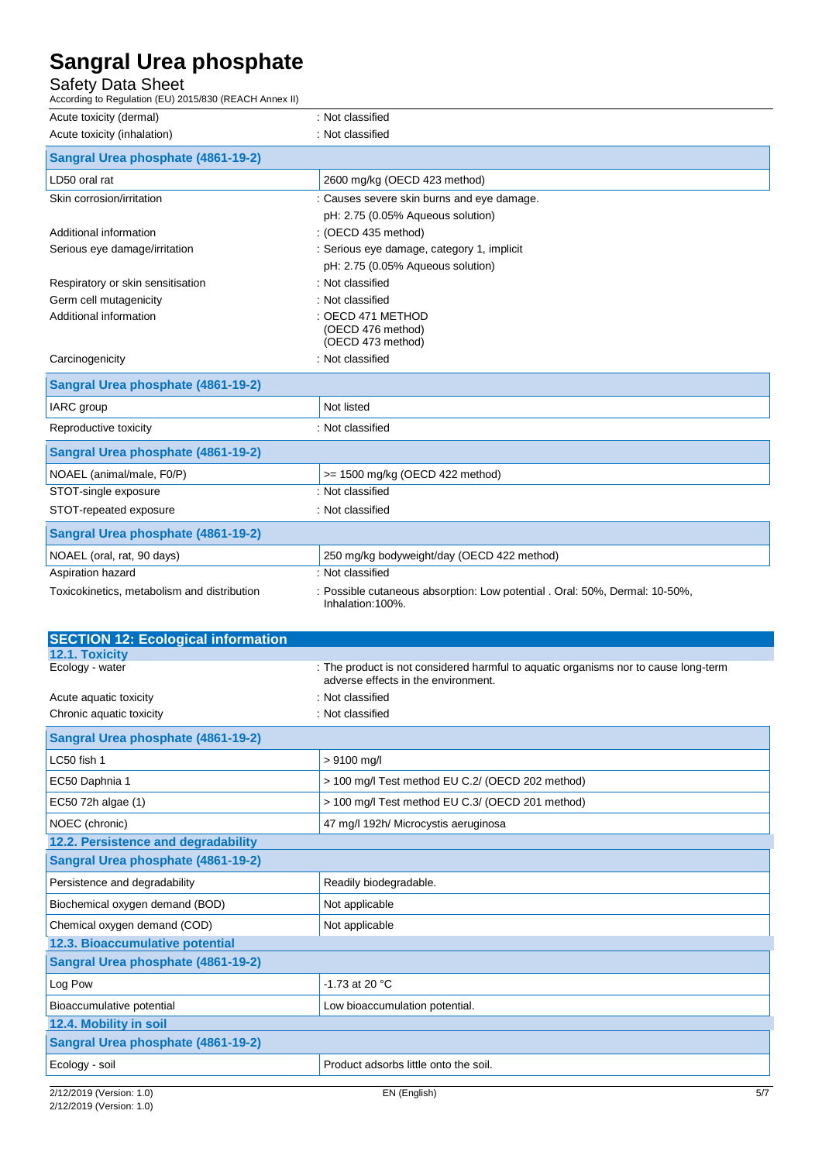Safety Data Sheet<br>According to Regulation (EU) 2015/830 (REACH Annex II)

| According to Regulation (EU) 2015/830 (REACH Annex II) |                                                                                                  |
|--------------------------------------------------------|--------------------------------------------------------------------------------------------------|
| Acute toxicity (dermal)                                | : Not classified                                                                                 |
| Acute toxicity (inhalation)                            | : Not classified                                                                                 |
| Sangral Urea phosphate (4861-19-2)                     |                                                                                                  |
| LD50 oral rat                                          | 2600 mg/kg (OECD 423 method)                                                                     |
| Skin corrosion/irritation                              | : Causes severe skin burns and eye damage.                                                       |
|                                                        | pH: 2.75 (0.05% Aqueous solution)                                                                |
| Additional information                                 | : (OECD 435 method)                                                                              |
| Serious eye damage/irritation                          | : Serious eye damage, category 1, implicit                                                       |
|                                                        | pH: 2.75 (0.05% Aqueous solution)                                                                |
| Respiratory or skin sensitisation                      | : Not classified                                                                                 |
| Germ cell mutagenicity                                 | : Not classified                                                                                 |
| Additional information                                 | : OECD 471 METHOD                                                                                |
|                                                        | (OECD 476 method)<br>(OECD 473 method)                                                           |
| Carcinogenicity                                        | : Not classified                                                                                 |
|                                                        |                                                                                                  |
| Sangral Urea phosphate (4861-19-2)                     |                                                                                                  |
| IARC group                                             | Not listed                                                                                       |
| Reproductive toxicity                                  | : Not classified                                                                                 |
| Sangral Urea phosphate (4861-19-2)                     |                                                                                                  |
| NOAEL (animal/male, F0/P)                              | >= 1500 mg/kg (OECD 422 method)                                                                  |
| STOT-single exposure                                   | : Not classified                                                                                 |
| STOT-repeated exposure                                 | : Not classified                                                                                 |
| Sangral Urea phosphate (4861-19-2)                     |                                                                                                  |
| NOAEL (oral, rat, 90 days)                             | 250 mg/kg bodyweight/day (OECD 422 method)                                                       |
| Aspiration hazard                                      | : Not classified                                                                                 |
| Toxicokinetics, metabolism and distribution            | : Possible cutaneous absorption: Low potential . Oral: 50%, Dermal: 10-50%,<br>Inhalation: 100%. |
|                                                        |                                                                                                  |
| <b>SECTION 12: Ecological information</b>              |                                                                                                  |
| 12.1. Toxicity<br>Ecology - water                      | : The product is not considered harmful to aquatic organisms nor to cause long-term              |
|                                                        | adverse effects in the environment.                                                              |
| Acute aquatic toxicity                                 | : Not classified                                                                                 |
| Chronic aquatic toxicity                               | : Not classified                                                                                 |
| Congral Liroa phoephato (1961-10-2)                    |                                                                                                  |

| Sangral Urea phosphate (4861-19-2)  |                                                  |  |
|-------------------------------------|--------------------------------------------------|--|
| LC50 fish 1                         | $> 9100$ mg/l                                    |  |
| EC50 Daphnia 1                      | > 100 mg/l Test method EU C.2/ (OECD 202 method) |  |
| EC50 72h algae (1)                  | > 100 mg/l Test method EU C.3/ (OECD 201 method) |  |
| NOEC (chronic)                      | 47 mg/l 192h/ Microcystis aeruginosa             |  |
| 12.2. Persistence and degradability |                                                  |  |
| Sangral Urea phosphate (4861-19-2)  |                                                  |  |
| Persistence and degradability       | Readily biodegradable.                           |  |
| Biochemical oxygen demand (BOD)     | Not applicable                                   |  |
| Chemical oxygen demand (COD)        | Not applicable                                   |  |
| 12.3. Bioaccumulative potential     |                                                  |  |
| Sangral Urea phosphate (4861-19-2)  |                                                  |  |
| Log Pow                             | $-1.73$ at 20 °C                                 |  |
| Bioaccumulative potential           | Low bioaccumulation potential.                   |  |
| 12.4. Mobility in soil              |                                                  |  |
| Sangral Urea phosphate (4861-19-2)  |                                                  |  |
| Ecology - soil                      | Product adsorbs little onto the soil.            |  |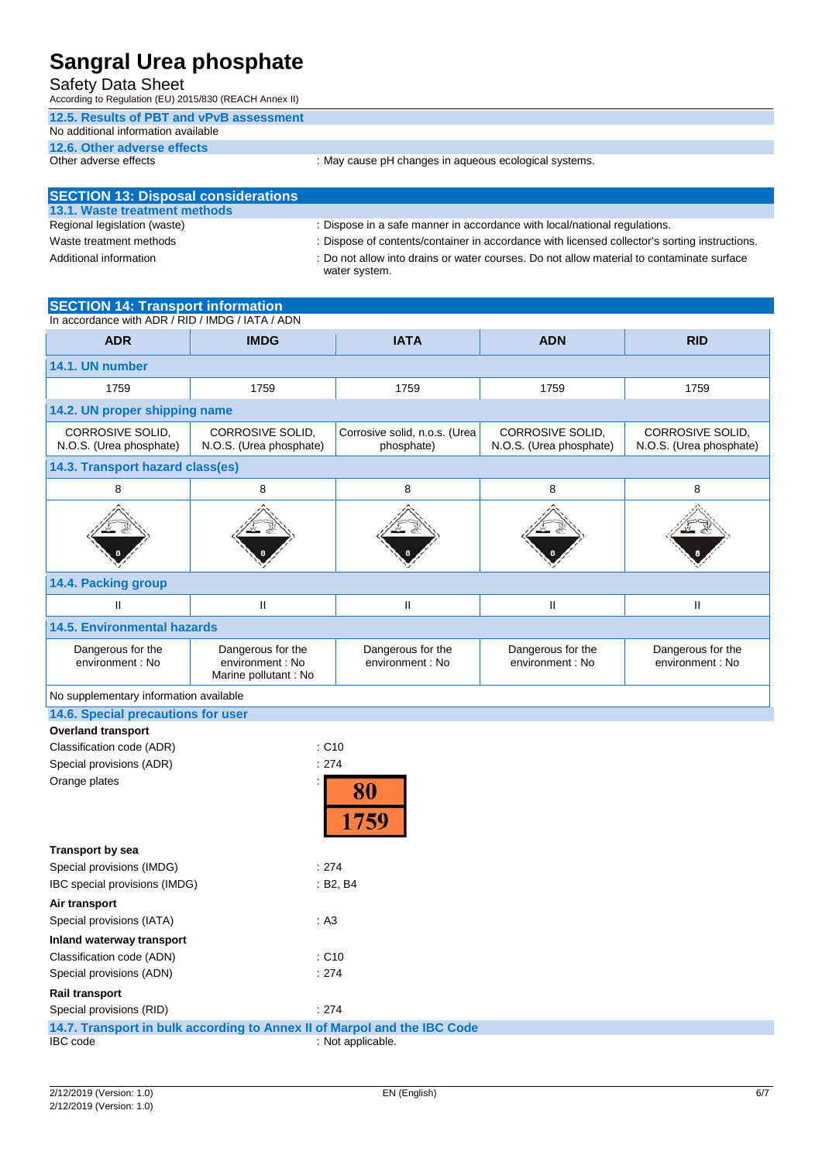Safety Data Sheet

According to Regulation (EU) 2015/830 (REACH Annex II)

#### **12.5. Results of PBT and vPvB assessment**

### No additional information available

**12.6. Other adverse effects**

: May cause pH changes in aqueous ecological systems.

| <b>SECTION 13: Disposal considerations</b> |                                                                                                            |
|--------------------------------------------|------------------------------------------------------------------------------------------------------------|
| 13.1. Waste treatment methods              |                                                                                                            |
| Regional legislation (waste)               | : Dispose in a safe manner in accordance with local/national regulations.                                  |
| Waste treatment methods                    | : Dispose of contents/container in accordance with licensed collector's sorting instructions.              |
| Additional information                     | : Do not allow into drains or water courses. Do not allow material to contaminate surface<br>water system. |

#### **SECTION 14: Transport information**

In accordance with ADR / RID / IMDG / IATA / ADN **ADR IMDG IATA ADN RID 14.1. UN number** 1759 1759 1759 1759 1759 **14.2. UN proper shipping name** Corrosive solid, n.o.s. (Urea CORROSIVE SOLID, CORROSIVE SOLID, CORROSIVE SOLID, CORROSIVE SOLID, N.O.S. (Urea phosphate) N.O.S. (Urea phosphate) phosphate) N.O.S. (Urea phosphate) N.O.S. (Urea phosphate) **14.3. Transport hazard class(es)** 8 8 8 8 8 8 8 8 **14.4. Packing group** II II II II II II II II **14.5. Environmental hazards** Dangerous for the Dangerous for the Dangerous for the Dangerous for the Dangerous for the environment : No environment : No environment : No environment : No environment : No Marine pollutant : No No supplementary information available **14.6. Special precautions for user Overland transport** Classification code (ADR) : C10 Special provisions (ADR)  $\qquad \qquad$  : 274 Orange plates 80 759 **Transport by sea**

| Special provisions (IMDG)                                                | : 274                        |  |
|--------------------------------------------------------------------------|------------------------------|--|
| IBC special provisions (IMDG)                                            | : B2. B4                     |  |
| Air transport                                                            |                              |  |
| Special provisions (IATA)                                                | : A3                         |  |
| Inland waterway transport                                                |                              |  |
| Classification code (ADN)                                                | $\therefore$ C <sub>10</sub> |  |
| Special provisions (ADN)                                                 | : 274                        |  |
| <b>Rail transport</b>                                                    |                              |  |
| Special provisions (RID)                                                 | : 274                        |  |
| 14.7. Transport in bulk according to Annex II of Marpol and the IBC Code |                              |  |
| IBC code                                                                 | : Not applicable.            |  |